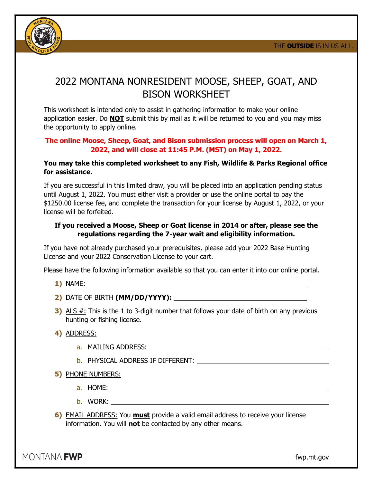

## 2022 MONTANA NONRESIDENT MOOSE, SHEEP, GOAT, AND BISON WORKSHEET

This worksheet is intended only to assist in gathering information to make your online application easier. Do **NOT** submit this by mail as it will be returned to you and you may miss the opportunity to apply online.

## The online Moose, Sheep, Goat, and Bison submission process will open on March 1, 2022, and will close at 11:45 P.M. (MST) on May 1, 2022.

## You may take this completed worksheet to any Fish, Wildlife & Parks Regional office for assistance.

If you are successful in this limited draw, you will be placed into an application pending status until August 1, 2022. You must either visit a provider or use the online portal to pay the \$1250.00 license fee, and complete the transaction for your license by August 1, 2022, or your license will be forfeited.

## If you received a Moose, Sheep or Goat license in 2014 or after, please see the regulations regarding the 7-year wait and eligibility information.

If you have not already purchased your prerequisites, please add your 2022 Base Hunting License and your 2022 Conservation License to your cart.

Please have the following information available so that you can enter it into our online portal.

- 1) NAME:
- 2) DATE OF BIRTH (MM/DD/YYYY):
- 3) ALS  $\#$ : This is the 1 to 3-digit number that follows your date of birth on any previous hunting or fishing license.
- 4) ADDRESS:
	- a. MAILING ADDRESS:
	- b. PHYSICAL ADDRESS IF DIFFERENT:
- 5) PHONE NUMBERS:
	- a. HOME:
	- b. WORK:
- 6) EMAIL ADDRESS: You **must** provide a valid email address to receive your license information. You will  $not$  be contacted by any other means.

MONTANA FWP

fwp.mt.gov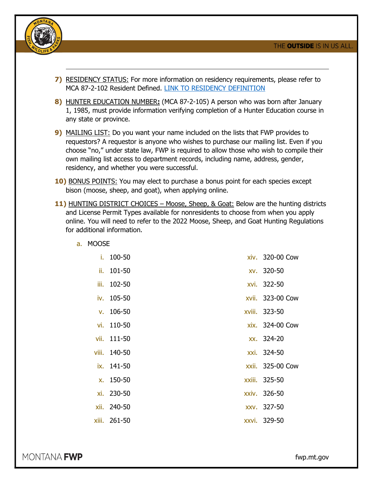

 $\overline{\phantom{a}}$ 

- 7) RESIDENCY STATUS: For more information on residency requirements, please refer to MCA 87-2-102 Resident Defined. LINK TO RESIDENCY DEFINITION
- 8) HUNTER EDUCATION NUMBER: (MCA 87-2-105) A person who was born after January 1, 1985, must provide information verifying completion of a Hunter Education course in any state or province.
- 9) MAILING LIST: Do you want your name included on the lists that FWP provides to requestors? A requestor is anyone who wishes to purchase our mailing list. Even if you choose "no," under state law, FWP is required to allow those who wish to compile their own mailing list access to department records, including name, address, gender, residency, and whether you were successful.
- 10) BONUS POINTS: You may elect to purchase a bonus point for each species except bison (moose, sheep, and goat), when applying online.
- 11) HUNTING DISTRICT CHOICES Moose, Sheep, & Goat: Below are the hunting districts and License Permit Types available for nonresidents to choose from when you apply online. You will need to refer to the 2022 Moose, Sheep, and Goat Hunting Regulations for additional information.
	- a. MOOSE i. 100-50 ii. 101-50 iii. 102-50 iv. 105-50 v. 106-50 vi. 110-50 vii. 111-50 viii. 140-50 ix. 141-50 x. 150-50 xiv. 320-00 Cow xvi. 322-50 xvii. 323-00 Cow xviii. 323-50 xix. 324-00 Cow xxi. 324-50 xxii. 325-00 Cow xxiii. 325-50
		- xi. 230-50 xxiv. 326-50
		- xii. 240-50 xxv. 327-50
		- xiii. 261-50 xxvi. 329-50

MONTANA FWP

fwp.mt.gov

xv. 320-50

xx. 324-20